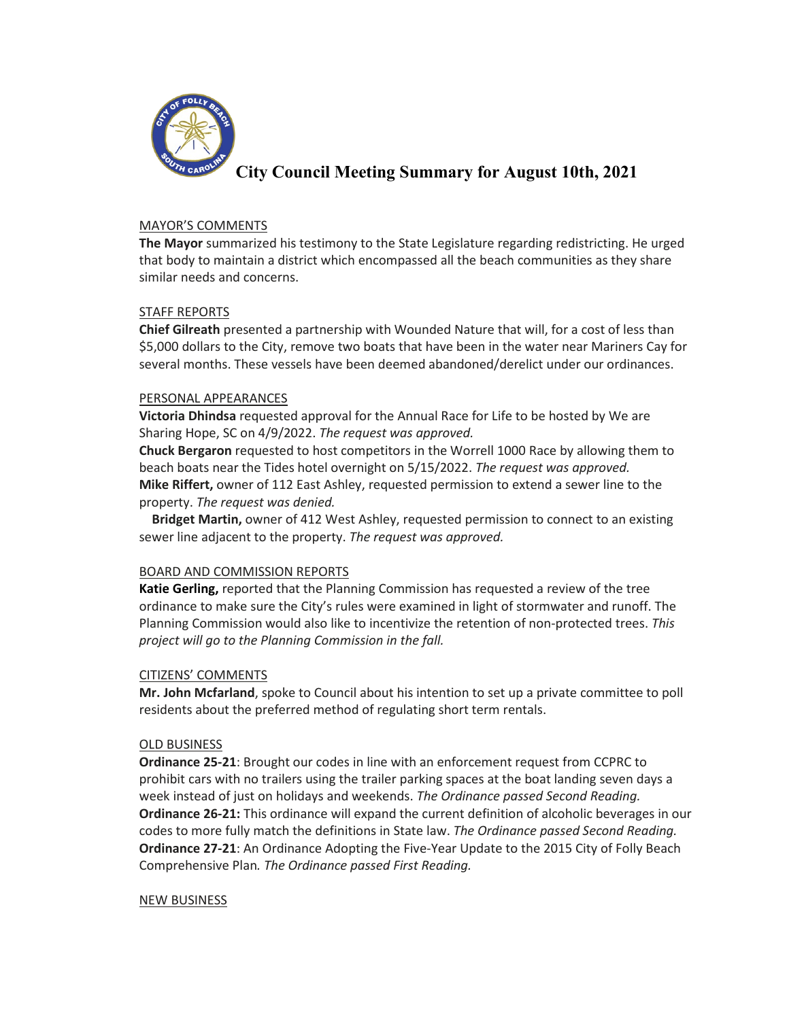

# **City Council Meeting Summary for August 10th, 2021**

## MAYOR'S COMMENTS

**The Mayor** summarized his testimony to the State Legislature regarding redistricting. He urged that body to maintain a district which encompassed all the beach communities as they share similar needs and concerns.

## STAFF REPORTS

**Chief Gilreath** presented a partnership with Wounded Nature that will, for a cost of less than \$5,000 dollars to the City, remove two boats that have been in the water near Mariners Cay for several months. These vessels have been deemed abandoned/derelict under our ordinances.

## PERSONAL APPEARANCES

**Victoria Dhindsa** requested approval for the Annual Race for Life to be hosted by We are Sharing Hope, SC on 4/9/2022. *The request was approved.*

**Chuck Bergaron** requested to host competitors in the Worrell 1000 Race by allowing them to beach boats near the Tides hotel overnight on 5/15/2022. *The request was approved.* **Mike Riffert,** owner of 112 East Ashley, requested permission to extend a sewer line to the property. *The request was denied.*

**Bridget Martin,** owner of 412 West Ashley, requested permission to connect to an existing sewer line adjacent to the property. *The request was approved.*

# BOARD AND COMMISSION REPORTS

**Katie Gerling,** reported that the Planning Commission has requested a review of the tree ordinance to make sure the City's rules were examined in light of stormwater and runoff. The Planning Commission would also like to incentivize the retention of non-protected trees. *This project will go to the Planning Commission in the fall.*

# CITIZENS' COMMENTS

**Mr. John Mcfarland**, spoke to Council about his intention to set up a private committee to poll residents about the preferred method of regulating short term rentals.

#### OLD BUSINESS

**Ordinance 25-21**: Brought our codes in line with an enforcement request from CCPRC to prohibit cars with no trailers using the trailer parking spaces at the boat landing seven days a week instead of just on holidays and weekends. *The Ordinance passed Second Reading.* **Ordinance 26-21:** This ordinance will expand the current definition of alcoholic beverages in our codes to more fully match the definitions in State law. *The Ordinance passed Second Reading.* **Ordinance 27-21**: An Ordinance Adopting the Five-Year Update to the 2015 City of Folly Beach Comprehensive Plan*. The Ordinance passed First Reading.*

#### NEW BUSINESS